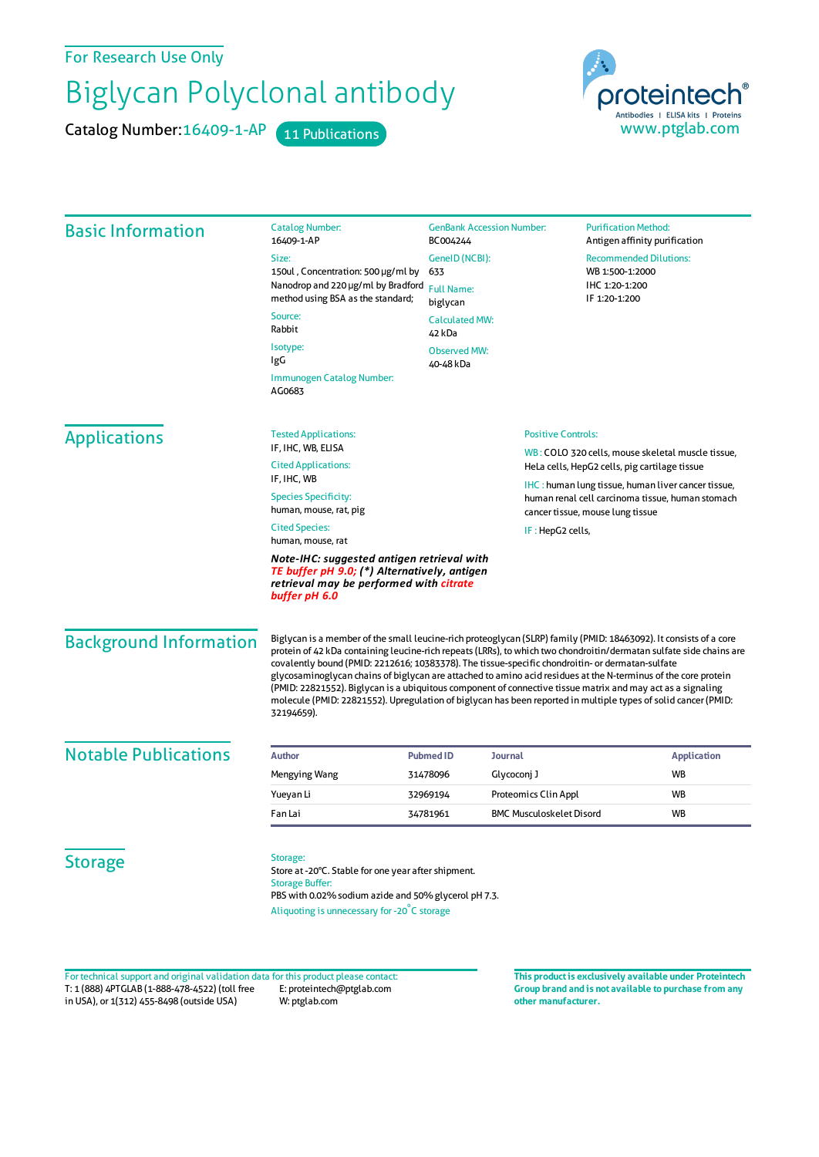## For Research Use Only

## Biglycan Polyclonal antibody

Catalog Number: 16409-1-AP 11 Publications



| <b>Basic Information</b>      | <b>Catalog Number:</b><br>16409-1-AP                                                                                                                                                                                                                                                                                                                                                                                                                                                                                                                                                                                                                                                                          | BC004244                      | <b>GenBank Accession Number:</b> |                                                                                                                                                    | <b>Purification Method:</b><br>Antigen affinity purification |  |
|-------------------------------|---------------------------------------------------------------------------------------------------------------------------------------------------------------------------------------------------------------------------------------------------------------------------------------------------------------------------------------------------------------------------------------------------------------------------------------------------------------------------------------------------------------------------------------------------------------------------------------------------------------------------------------------------------------------------------------------------------------|-------------------------------|----------------------------------|----------------------------------------------------------------------------------------------------------------------------------------------------|--------------------------------------------------------------|--|
|                               | Size:                                                                                                                                                                                                                                                                                                                                                                                                                                                                                                                                                                                                                                                                                                         | GeneID (NCBI):                |                                  | <b>Recommended Dilutions:</b>                                                                                                                      |                                                              |  |
|                               | 150ul, Concentration: 500 µg/ml by                                                                                                                                                                                                                                                                                                                                                                                                                                                                                                                                                                                                                                                                            | 633                           |                                  |                                                                                                                                                    | WB 1:500-1:2000<br>IHC 1:20-1:200                            |  |
|                               | Nanodrop and 220 µg/ml by Bradford<br>method using BSA as the standard;                                                                                                                                                                                                                                                                                                                                                                                                                                                                                                                                                                                                                                       | <b>Full Name:</b><br>biglycan |                                  | IF 1:20-1:200                                                                                                                                      |                                                              |  |
|                               | Source:                                                                                                                                                                                                                                                                                                                                                                                                                                                                                                                                                                                                                                                                                                       |                               | <b>Calculated MW:</b>            |                                                                                                                                                    |                                                              |  |
|                               | Rabbit                                                                                                                                                                                                                                                                                                                                                                                                                                                                                                                                                                                                                                                                                                        | 42 kDa                        |                                  |                                                                                                                                                    |                                                              |  |
|                               | Isotype:<br>IgG                                                                                                                                                                                                                                                                                                                                                                                                                                                                                                                                                                                                                                                                                               | <b>Observed MW:</b>           |                                  |                                                                                                                                                    |                                                              |  |
|                               | Immunogen Catalog Number:<br>AG0683                                                                                                                                                                                                                                                                                                                                                                                                                                                                                                                                                                                                                                                                           | 40-48 kDa                     |                                  |                                                                                                                                                    |                                                              |  |
| <b>Applications</b>           | <b>Tested Applications:</b>                                                                                                                                                                                                                                                                                                                                                                                                                                                                                                                                                                                                                                                                                   |                               | <b>Positive Controls:</b>        |                                                                                                                                                    |                                                              |  |
|                               | IF, IHC, WB, ELISA<br><b>Cited Applications:</b>                                                                                                                                                                                                                                                                                                                                                                                                                                                                                                                                                                                                                                                              |                               |                                  | WB: COLO 320 cells, mouse skeletal muscle tissue,<br>HeLa cells, HepG2 cells, pig cartilage tissue                                                 |                                                              |  |
|                               | IF, IHC, WB                                                                                                                                                                                                                                                                                                                                                                                                                                                                                                                                                                                                                                                                                                   |                               |                                  | <b>IHC</b> : human lung tissue, human liver cancer tissue,<br>human renal cell carcinoma tissue, human stomach<br>cancer tissue, mouse lung tissue |                                                              |  |
|                               | <b>Species Specificity:</b><br>human, mouse, rat, pig                                                                                                                                                                                                                                                                                                                                                                                                                                                                                                                                                                                                                                                         |                               |                                  |                                                                                                                                                    |                                                              |  |
|                               | <b>Cited Species:</b><br>human, mouse, rat                                                                                                                                                                                                                                                                                                                                                                                                                                                                                                                                                                                                                                                                    | IF : HepG2 cells,             |                                  |                                                                                                                                                    |                                                              |  |
|                               | Note-IHC: suggested antigen retrieval with<br>TE buffer pH 9.0; (*) Alternatively, antigen<br>retrieval may be performed with citrate<br>buffer pH 6.0                                                                                                                                                                                                                                                                                                                                                                                                                                                                                                                                                        |                               |                                  |                                                                                                                                                    |                                                              |  |
| <b>Background Information</b> | Biglycan is a member of the small leucine-rich proteoglycan (SLRP) family (PMID: 18463092). It consists of a core<br>protein of 42 kDa containing leucine-rich repeats (LRRs), to which two chondroitin/dermatan sulfate side chains are<br>covalently bound (PMID: 2212616; 10383378). The tissue-specific chondroitin- or dermatan-sulfate<br>glycosaminoglycan chains of biglycan are attached to amino acid residues at the N-terminus of the core protein<br>(PMID: 22821552). Biglycan is a ubiquitous component of connective tissue matrix and may act as a signaling<br>molecule (PMID: 22821552). Upregulation of biglycan has been reported in multiple types of solid cancer (PMID:<br>32194659). |                               |                                  |                                                                                                                                                    |                                                              |  |
| <b>Notable Publications</b>   | <b>Author</b>                                                                                                                                                                                                                                                                                                                                                                                                                                                                                                                                                                                                                                                                                                 |                               |                                  |                                                                                                                                                    |                                                              |  |
|                               | Mengying Wang                                                                                                                                                                                                                                                                                                                                                                                                                                                                                                                                                                                                                                                                                                 | <b>Pubmed ID</b><br>31478096  | Journal<br>Glycoconj J           |                                                                                                                                                    | <b>Application</b><br><b>WB</b>                              |  |
|                               | Yueyan Li                                                                                                                                                                                                                                                                                                                                                                                                                                                                                                                                                                                                                                                                                                     | 32969194                      | Proteomics Clin Appl             |                                                                                                                                                    | WB                                                           |  |
|                               | Fan Lai                                                                                                                                                                                                                                                                                                                                                                                                                                                                                                                                                                                                                                                                                                       | 34781961                      | <b>BMC Musculoskelet Disord</b>  |                                                                                                                                                    | <b>WB</b>                                                    |  |
| <b>Storage</b>                | Storage:<br>Store at -20°C. Stable for one year after shipment.<br><b>Storage Buffer:</b><br>PBS with 0.02% sodium azide and 50% glycerol pH 7.3.<br>Aliquoting is unnecessary for -20°C storage                                                                                                                                                                                                                                                                                                                                                                                                                                                                                                              |                               |                                  |                                                                                                                                                    |                                                              |  |

T: 1 (888) 4PTGLAB (1-888-478-4522) (toll free in USA), or 1(312) 455-8498 (outside USA) E: proteintech@ptglab.com W: ptglab.com Fortechnical support and original validation data forthis product please contact: **This productis exclusively available under Proteintech**

**Group brand and is not available to purchase from any other manufacturer.**